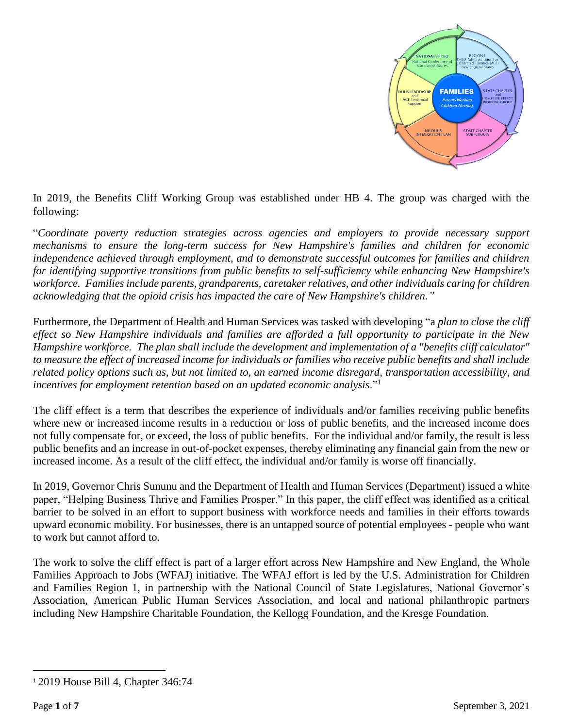

In 2019, the Benefits Cliff Working Group was established under HB 4. The group was charged with the following:

"*Coordinate poverty reduction strategies across agencies and employers to provide necessary support mechanisms to ensure the long-term success for New Hampshire's families and children for economic independence achieved through employment, and to demonstrate successful outcomes for families and children for identifying supportive transitions from public benefits to self-sufficiency while enhancing New Hampshire's workforce. Families include parents, grandparents, caretaker relatives, and other individuals caring for children acknowledging that the opioid crisis has impacted the care of New Hampshire's children."*

Furthermore, the Department of Health and Human Services was tasked with developing "a *plan to close the cliff effect so New Hampshire individuals and families are afforded a full opportunity to participate in the New Hampshire workforce. The plan shall include the development and implementation of a "benefits cliff calculator" to measure the effect of increased income for individuals or families who receive public benefits and shall include related policy options such as, but not limited to, an earned income disregard, transportation accessibility, and incentives for employment retention based on an updated economic analysis*."<sup>1</sup>

The cliff effect is a term that describes the experience of individuals and/or families receiving public benefits where new or increased income results in a reduction or loss of public benefits, and the increased income does not fully compensate for, or exceed, the loss of public benefits. For the individual and/or family, the result is less public benefits and an increase in out-of-pocket expenses, thereby eliminating any financial gain from the new or increased income. As a result of the cliff effect, the individual and/or family is worse off financially.

In 2019, Governor Chris Sununu and the Department of Health and Human Services (Department) issued a white paper, "Helping Business Thrive and Families Prosper." In this paper, the cliff effect was identified as a critical barrier to be solved in an effort to support business with workforce needs and families in their efforts towards upward economic mobility. For businesses, there is an untapped source of potential employees - people who want to work but cannot afford to.

The work to solve the cliff effect is part of a larger effort across New Hampshire and New England, the Whole Families Approach to Jobs (WFAJ) initiative. The WFAJ effort is led by the U.S. Administration for Children and Families Region 1, in partnership with the National Council of State Legislatures, National Governor's Association, American Public Human Services Association, and local and national philanthropic partners including New Hampshire Charitable Foundation, the Kellogg Foundation, and the Kresge Foundation.

 $\overline{\phantom{a}}$ 

<sup>1</sup> 2019 House Bill 4, Chapter 346:74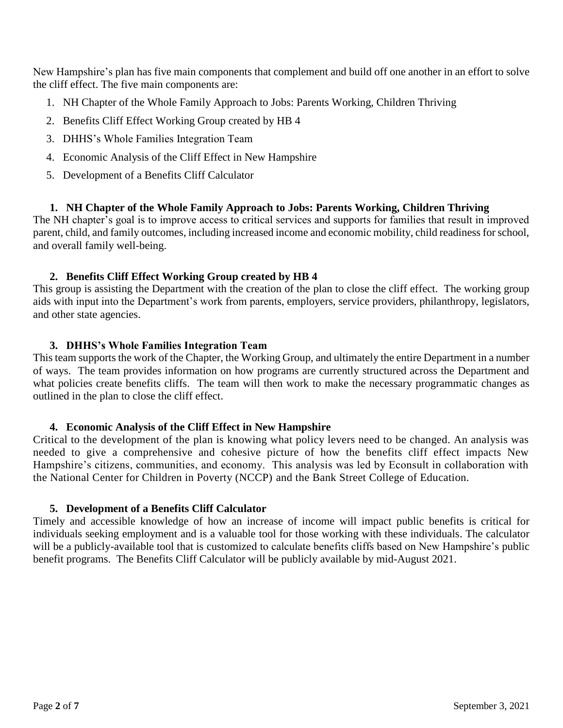New Hampshire's plan has five main components that complement and build off one another in an effort to solve the cliff effect. The five main components are:

- 1. NH Chapter of the Whole Family Approach to Jobs: Parents Working, Children Thriving
- 2. Benefits Cliff Effect Working Group created by HB 4
- 3. DHHS's Whole Families Integration Team
- 4. Economic Analysis of the Cliff Effect in New Hampshire
- 5. Development of a Benefits Cliff Calculator

# **1. NH Chapter of the Whole Family Approach to Jobs: Parents Working, Children Thriving**

The NH chapter's goal is to improve access to critical services and supports for families that result in improved parent, child, and family outcomes, including increased income and economic mobility, child readiness for school, and overall family well-being.

# **2. Benefits Cliff Effect Working Group created by HB 4**

This group is assisting the Department with the creation of the plan to close the cliff effect. The working group aids with input into the Department's work from parents, employers, service providers, philanthropy, legislators, and other state agencies.

# **3. DHHS's Whole Families Integration Team**

This team supports the work of the Chapter, the Working Group, and ultimately the entire Department in a number of ways. The team provides information on how programs are currently structured across the Department and what policies create benefits cliffs. The team will then work to make the necessary programmatic changes as outlined in the plan to close the cliff effect.

### **4. Economic Analysis of the Cliff Effect in New Hampshire**

Critical to the development of the plan is knowing what policy levers need to be changed. An analysis was needed to give a comprehensive and cohesive picture of how the benefits cliff effect impacts New Hampshire's citizens, communities, and economy. This analysis was led by Econsult in collaboration with the National Center for Children in Poverty (NCCP) and the Bank Street College of Education.

### **5. Development of a Benefits Cliff Calculator**

Timely and accessible knowledge of how an increase of income will impact public benefits is critical for individuals seeking employment and is a valuable tool for those working with these individuals. The calculator will be a publicly-available tool that is customized to calculate benefits cliffs based on New Hampshire's public benefit programs. The Benefits Cliff Calculator will be publicly available by mid-August 2021.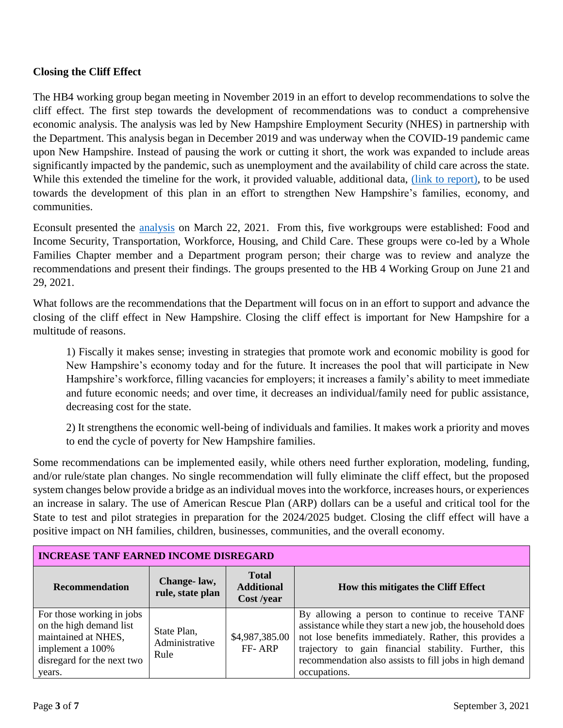## **Closing the Cliff Effect**

The HB4 working group began meeting in November 2019 in an effort to develop recommendations to solve the cliff effect. The first step towards the development of recommendations was to conduct a comprehensive economic analysis. The analysis was led by New Hampshire Employment Security (NHES) in partnership with the Department. This analysis began in December 2019 and was underway when the COVID-19 pandemic came upon New Hampshire. Instead of pausing the work or cutting it short, the work was expanded to include areas significantly impacted by the pandemic, such as unemployment and the availability of child care across the state. While this extended the timeline for the work, it provided valuable, additional data, [\(link to report\),](https://econsultsolutions.com/nh-cliff-analysis/) to be used towards the development of this plan in an effort to strengthen New Hampshire's families, economy, and communities.

Econsult presented the [analysis](https://www.dhhs.nh.gov/ocom/documents/esinhconstraints.pdf) on March 22, 2021. From this, five workgroups were established: Food and Income Security, Transportation, Workforce, Housing, and Child Care. These groups were co-led by a Whole Families Chapter member and a Department program person; their charge was to review and analyze the recommendations and present their findings. The groups presented to the HB 4 Working Group on June 21 and 29, 2021.

What follows are the recommendations that the Department will focus on in an effort to support and advance the closing of the cliff effect in New Hampshire. Closing the cliff effect is important for New Hampshire for a multitude of reasons.

1) Fiscally it makes sense; investing in strategies that promote work and economic mobility is good for New Hampshire's economy today and for the future. It increases the pool that will participate in New Hampshire's workforce, filling vacancies for employers; it increases a family's ability to meet immediate and future economic needs; and over time, it decreases an individual/family need for public assistance, decreasing cost for the state.

2) It strengthens the economic well-being of individuals and families. It makes work a priority and moves to end the cycle of poverty for New Hampshire families.

Some recommendations can be implemented easily, while others need further exploration, modeling, funding, and/or rule/state plan changes. No single recommendation will fully eliminate the cliff effect, but the proposed system changes below provide a bridge as an individual moves into the workforce, increases hours, or experiences an increase in salary. The use of American Rescue Plan (ARP) dollars can be a useful and critical tool for the State to test and pilot strategies in preparation for the 2024/2025 budget. Closing the cliff effect will have a positive impact on NH families, children, businesses, communities, and the overall economy.

| <b>INCREASE TANF EARNED INCOME DISREGARD</b>                                                                                            |                                       |                                                 |                                                                                                                                                                                                                                                                                                             |
|-----------------------------------------------------------------------------------------------------------------------------------------|---------------------------------------|-------------------------------------------------|-------------------------------------------------------------------------------------------------------------------------------------------------------------------------------------------------------------------------------------------------------------------------------------------------------------|
| <b>Recommendation</b>                                                                                                                   | Change-law,<br>rule, state plan       | <b>Total</b><br><b>Additional</b><br>Cost /year | How this mitigates the Cliff Effect                                                                                                                                                                                                                                                                         |
| For those working in jobs<br>on the high demand list<br>maintained at NHES,<br>implement a 100%<br>disregard for the next two<br>years. | State Plan,<br>Administrative<br>Rule | \$4,987,385.00<br>FF-ARP                        | By allowing a person to continue to receive TANF<br>assistance while they start a new job, the household does<br>not lose benefits immediately. Rather, this provides a<br>trajectory to gain financial stability. Further, this<br>recommendation also assists to fill jobs in high demand<br>occupations. |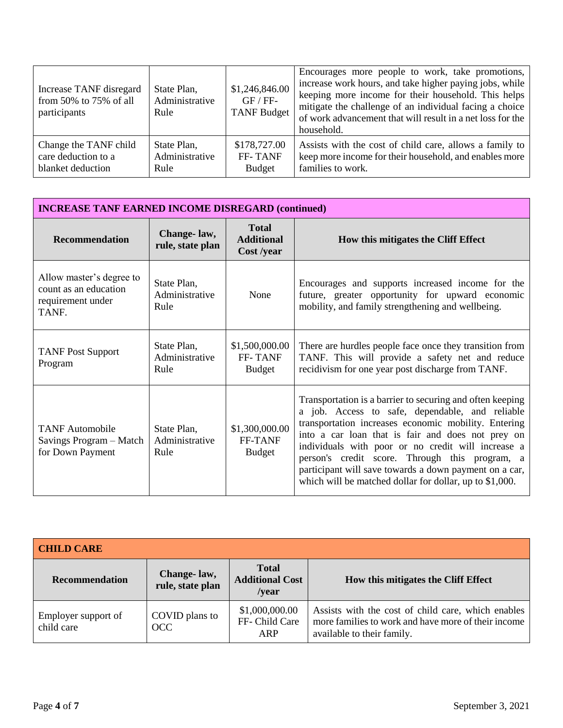| Increase TANF disregard<br>from $50\%$ to $75\%$ of all<br>participants | State Plan,<br>Administrative<br>Rule | \$1,246,846.00<br>$GF / FF-$<br><b>TANF Budget</b> | Encourages more people to work, take promotions,<br>increase work hours, and take higher paying jobs, while<br>keeping more income for their household. This helps<br>mitigate the challenge of an individual facing a choice<br>of work advancement that will result in a net loss for the<br>household. |
|-------------------------------------------------------------------------|---------------------------------------|----------------------------------------------------|-----------------------------------------------------------------------------------------------------------------------------------------------------------------------------------------------------------------------------------------------------------------------------------------------------------|
| Change the TANF child                                                   | State Plan,                           | \$178,727.00                                       | Assists with the cost of child care, allows a family to                                                                                                                                                                                                                                                   |
| care deduction to a                                                     | Administrative                        | FF-TANF                                            | keep more income for their household, and enables more                                                                                                                                                                                                                                                    |
| blanket deduction                                                       | Rule                                  | <b>Budget</b>                                      | families to work.                                                                                                                                                                                                                                                                                         |

| <b>INCREASE TANF EARNED INCOME DISREGARD (continued)</b>                        |                                       |                                                 |                                                                                                                                                                                                                                                                                                                                                                                                                                                        |  |
|---------------------------------------------------------------------------------|---------------------------------------|-------------------------------------------------|--------------------------------------------------------------------------------------------------------------------------------------------------------------------------------------------------------------------------------------------------------------------------------------------------------------------------------------------------------------------------------------------------------------------------------------------------------|--|
| <b>Recommendation</b>                                                           | Change-law,<br>rule, state plan       | <b>Total</b><br><b>Additional</b><br>Cost /year | How this mitigates the Cliff Effect                                                                                                                                                                                                                                                                                                                                                                                                                    |  |
| Allow master's degree to<br>count as an education<br>requirement under<br>TANF. | State Plan,<br>Administrative<br>Rule | None                                            | Encourages and supports increased income for the<br>future, greater opportunity for upward economic<br>mobility, and family strengthening and wellbeing.                                                                                                                                                                                                                                                                                               |  |
| <b>TANF Post Support</b><br>Program                                             | State Plan,<br>Administrative<br>Rule | \$1,500,000.00<br>FF-TANF<br><b>Budget</b>      | There are hurdles people face once they transition from<br>TANF. This will provide a safety net and reduce<br>recidivism for one year post discharge from TANF.                                                                                                                                                                                                                                                                                        |  |
| <b>TANF</b> Automobile<br>Savings Program – Match<br>for Down Payment           | State Plan,<br>Administrative<br>Rule | \$1,300,000.00<br><b>FF-TANF</b><br>Budget      | Transportation is a barrier to securing and often keeping<br>a job. Access to safe, dependable, and reliable<br>transportation increases economic mobility. Entering<br>into a car loan that is fair and does not prey on<br>individuals with poor or no credit will increase a<br>person's credit score. Through this program, a<br>participant will save towards a down payment on a car,<br>which will be matched dollar for dollar, up to \$1,000. |  |

| <b>CHILD CARE</b>                 |                                 |                                                        |                                                                                                                                         |
|-----------------------------------|---------------------------------|--------------------------------------------------------|-----------------------------------------------------------------------------------------------------------------------------------------|
| <b>Recommendation</b>             | Change-law,<br>rule, state plan | <b>Total</b><br><b>Additional Cost</b><br>$\sqrt{var}$ | How this mitigates the Cliff Effect                                                                                                     |
| Employer support of<br>child care | COVID plans to<br>OCC           | \$1,000,000.00<br>FF- Child Care<br><b>ARP</b>         | Assists with the cost of child care, which enables<br>more families to work and have more of their income<br>available to their family. |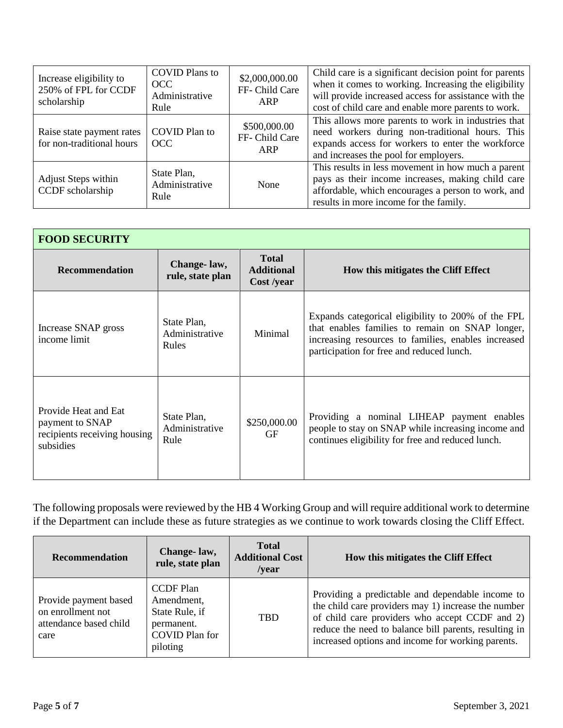| Increase eligibility to<br>250% of FPL for CCDF<br>scholarship | <b>COVID Plans to</b><br><b>OCC</b><br>Administrative<br>Rule | \$2,000,000.00<br>FF- Child Care<br>ARP | Child care is a significant decision point for parents<br>when it comes to working. Increasing the eligibility<br>will provide increased access for assistance with the<br>cost of child care and enable more parents to work. |
|----------------------------------------------------------------|---------------------------------------------------------------|-----------------------------------------|--------------------------------------------------------------------------------------------------------------------------------------------------------------------------------------------------------------------------------|
| Raise state payment rates<br>for non-traditional hours         | COVID Plan to<br>OCC                                          | \$500,000.00<br>FF- Child Care<br>ARP   | This allows more parents to work in industries that<br>need workers during non-traditional hours. This<br>expands access for workers to enter the workforce<br>and increases the pool for employers.                           |
| <b>Adjust Steps within</b><br>CCDF scholarship                 | State Plan,<br>Administrative<br>Rule                         | None                                    | This results in less movement in how much a parent<br>pays as their income increases, making child care<br>affordable, which encourages a person to work, and<br>results in more income for the family.                        |

| <b>FOOD SECURITY</b>                                                                 |                                               |                                                 |                                                                                                                                                                                                           |
|--------------------------------------------------------------------------------------|-----------------------------------------------|-------------------------------------------------|-----------------------------------------------------------------------------------------------------------------------------------------------------------------------------------------------------------|
| <b>Recommendation</b>                                                                | Change-law,<br>rule, state plan               | <b>Total</b><br><b>Additional</b><br>Cost /year | How this mitigates the Cliff Effect                                                                                                                                                                       |
| Increase SNAP gross<br>income limit                                                  | State Plan,<br>Administrative<br><b>Rules</b> | Minimal                                         | Expands categorical eligibility to 200% of the FPL<br>that enables families to remain on SNAP longer,<br>increasing resources to families, enables increased<br>participation for free and reduced lunch. |
| Provide Heat and Eat<br>payment to SNAP<br>recipients receiving housing<br>subsidies | State Plan,<br>Administrative<br>Rule         | \$250,000.00<br><b>GF</b>                       | Providing a nominal LIHEAP payment enables<br>people to stay on SNAP while increasing income and<br>continues eligibility for free and reduced lunch.                                                     |

The following proposals were reviewed by the HB 4 Working Group and will require additional work to determine if the Department can include these as future strategies as we continue to work towards closing the Cliff Effect.

| <b>Recommendation</b>                                                        | Change-law,<br>rule, state plan                                                                     | <b>Total</b><br><b>Additional Cost</b><br>$\sqrt{var}$ | How this mitigates the Cliff Effect                                                                                                                                                                                                                                     |
|------------------------------------------------------------------------------|-----------------------------------------------------------------------------------------------------|--------------------------------------------------------|-------------------------------------------------------------------------------------------------------------------------------------------------------------------------------------------------------------------------------------------------------------------------|
| Provide payment based<br>on enrollment not<br>attendance based child<br>care | <b>CCDF</b> Plan<br>Amendment,<br>State Rule, if<br>permanent.<br><b>COVID Plan for</b><br>piloting | <b>TBD</b>                                             | Providing a predictable and dependable income to<br>the child care providers may 1) increase the number<br>of child care providers who accept CCDF and 2)<br>reduce the need to balance bill parents, resulting in<br>increased options and income for working parents. |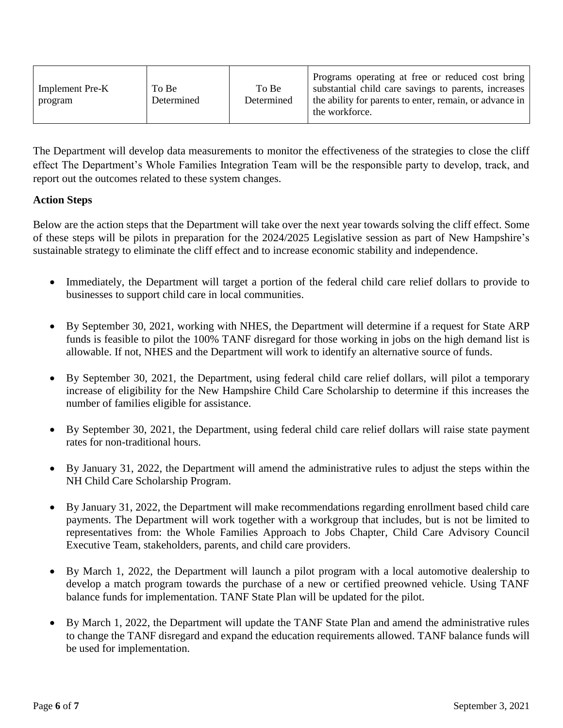| Implement Pre-K<br>program | To Be<br>Determined | To Be<br>Determined | Programs operating at free or reduced cost bring<br>substantial child care savings to parents, increases<br>the ability for parents to enter, remain, or advance in<br>the workforce. |
|----------------------------|---------------------|---------------------|---------------------------------------------------------------------------------------------------------------------------------------------------------------------------------------|
|----------------------------|---------------------|---------------------|---------------------------------------------------------------------------------------------------------------------------------------------------------------------------------------|

The Department will develop data measurements to monitor the effectiveness of the strategies to close the cliff effect The Department's Whole Families Integration Team will be the responsible party to develop, track, and report out the outcomes related to these system changes.

### **Action Steps**

Below are the action steps that the Department will take over the next year towards solving the cliff effect. Some of these steps will be pilots in preparation for the 2024/2025 Legislative session as part of New Hampshire's sustainable strategy to eliminate the cliff effect and to increase economic stability and independence.

- Immediately, the Department will target a portion of the federal child care relief dollars to provide to businesses to support child care in local communities.
- By September 30, 2021, working with NHES, the Department will determine if a request for State ARP funds is feasible to pilot the 100% TANF disregard for those working in jobs on the high demand list is allowable. If not, NHES and the Department will work to identify an alternative source of funds.
- By September 30, 2021, the Department, using federal child care relief dollars, will pilot a temporary increase of eligibility for the New Hampshire Child Care Scholarship to determine if this increases the number of families eligible for assistance.
- By September 30, 2021, the Department, using federal child care relief dollars will raise state payment rates for non-traditional hours.
- By January 31, 2022, the Department will amend the administrative rules to adjust the steps within the NH Child Care Scholarship Program.
- By January 31, 2022, the Department will make recommendations regarding enrollment based child care payments. The Department will work together with a workgroup that includes, but is not be limited to representatives from: the Whole Families Approach to Jobs Chapter, Child Care Advisory Council Executive Team, stakeholders, parents, and child care providers.
- By March 1, 2022, the Department will launch a pilot program with a local automotive dealership to develop a match program towards the purchase of a new or certified preowned vehicle. Using TANF balance funds for implementation. TANF State Plan will be updated for the pilot.
- By March 1, 2022, the Department will update the TANF State Plan and amend the administrative rules to change the TANF disregard and expand the education requirements allowed. TANF balance funds will be used for implementation.